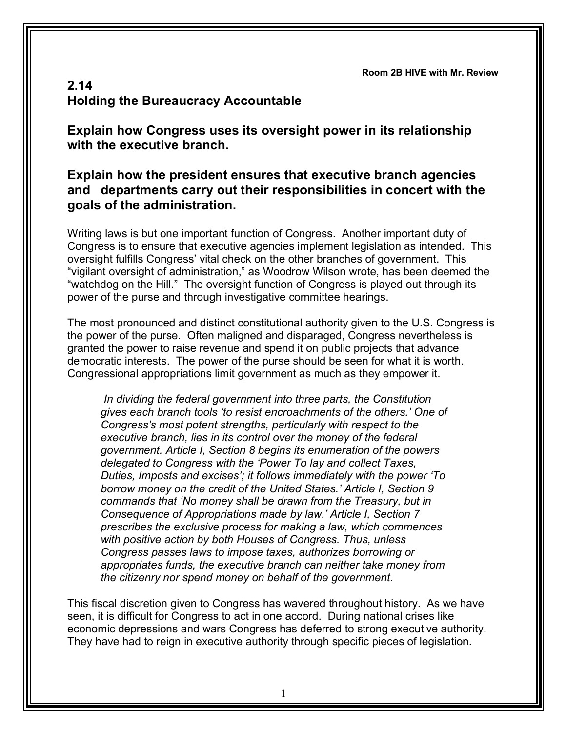**Room 2B HIVE with Mr. Review**

## **2.14 Holding the Bureaucracy Accountable**

**Explain how Congress uses its oversight power in its relationship with the executive branch.**

## **Explain how the president ensures that executive branch agencies and departments carry out their responsibilities in concert with the goals of the administration.**

Writing laws is but one important function of Congress. Another important duty of Congress is to ensure that executive agencies implement legislation as intended. This oversight fulfills Congress' vital check on the other branches of government. This "vigilant oversight of administration," as Woodrow Wilson wrote, has been deemed the "watchdog on the Hill." The oversight function of Congress is played out through its power of the purse and through investigative committee hearings.

The most pronounced and distinct constitutional authority given to the U.S. Congress is the power of the purse. Often maligned and disparaged, Congress nevertheless is granted the power to raise revenue and spend it on public projects that advance democratic interests. The power of the purse should be seen for what it is worth. Congressional appropriations limit government as much as they empower it.

*In dividing the federal government into three parts, the Constitution gives each branch tools 'to resist encroachments of the others.' One of Congress's most potent strengths, particularly with respect to the executive branch, lies in its control over the money of the federal government. Article I, Section 8 begins its enumeration of the powers delegated to Congress with the 'Power To lay and collect Taxes, Duties, Imposts and excises'; it follows immediately with the power 'To borrow money on the credit of the United States.' Article I, Section 9 commands that 'No money shall be drawn from the Treasury, but in Consequence of Appropriations made by law.' Article I, Section 7 prescribes the exclusive process for making a law, which commences with positive action by both Houses of Congress. Thus, unless Congress passes laws to impose taxes, authorizes borrowing or appropriates funds, the executive branch can neither take money from the citizenry nor spend money on behalf of the government.*

This fiscal discretion given to Congress has wavered throughout history. As we have seen, it is difficult for Congress to act in one accord. During national crises like economic depressions and wars Congress has deferred to strong executive authority. They have had to reign in executive authority through specific pieces of legislation.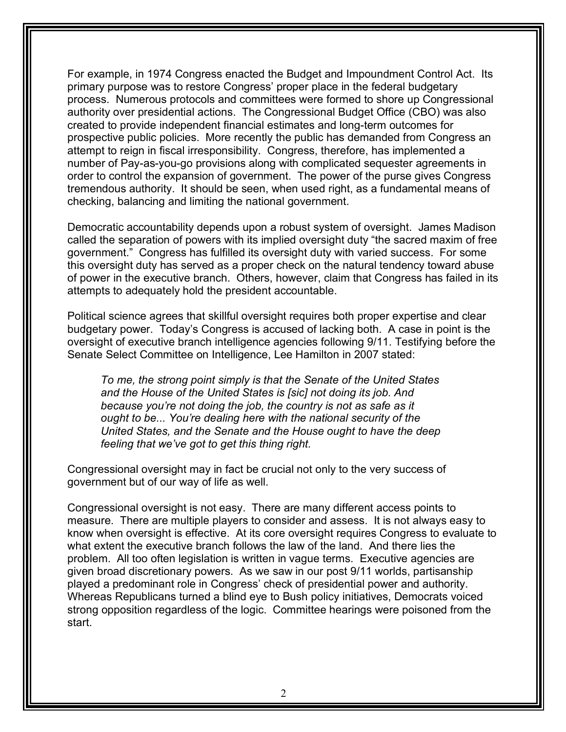For example, in 1974 Congress enacted the Budget and Impoundment Control Act. Its primary purpose was to restore Congress' proper place in the federal budgetary process. Numerous protocols and committees were formed to shore up Congressional authority over presidential actions. The Congressional Budget Office (CBO) was also created to provide independent financial estimates and long-term outcomes for prospective public policies. More recently the public has demanded from Congress an attempt to reign in fiscal irresponsibility. Congress, therefore, has implemented a number of Pay-as-you-go provisions along with complicated sequester agreements in order to control the expansion of government. The power of the purse gives Congress tremendous authority. It should be seen, when used right, as a fundamental means of checking, balancing and limiting the national government.

Democratic accountability depends upon a robust system of oversight. James Madison called the separation of powers with its implied oversight duty "the sacred maxim of free government." Congress has fulfilled its oversight duty with varied success. For some this oversight duty has served as a proper check on the natural tendency toward abuse of power in the executive branch. Others, however, claim that Congress has failed in its attempts to adequately hold the president accountable.

Political science agrees that skillful oversight requires both proper expertise and clear budgetary power. Today's Congress is accused of lacking both. A case in point is the oversight of executive branch intelligence agencies following 9/11. Testifying before the Senate Select Committee on Intelligence, Lee Hamilton in 2007 stated:

*To me, the strong point simply is that the Senate of the United States and the House of the United States is [sic] not doing its job. And because you're not doing the job, the country is not as safe as it ought to be... You're dealing here with the national security of the United States, and the Senate and the House ought to have the deep feeling that we've got to get this thing right.*

Congressional oversight may in fact be crucial not only to the very success of government but of our way of life as well.

Congressional oversight is not easy. There are many different access points to measure. There are multiple players to consider and assess. It is not always easy to know when oversight is effective. At its core oversight requires Congress to evaluate to what extent the executive branch follows the law of the land. And there lies the problem. All too often legislation is written in vague terms. Executive agencies are given broad discretionary powers. As we saw in our post 9/11 worlds, partisanship played a predominant role in Congress' check of presidential power and authority. Whereas Republicans turned a blind eye to Bush policy initiatives, Democrats voiced strong opposition regardless of the logic. Committee hearings were poisoned from the start.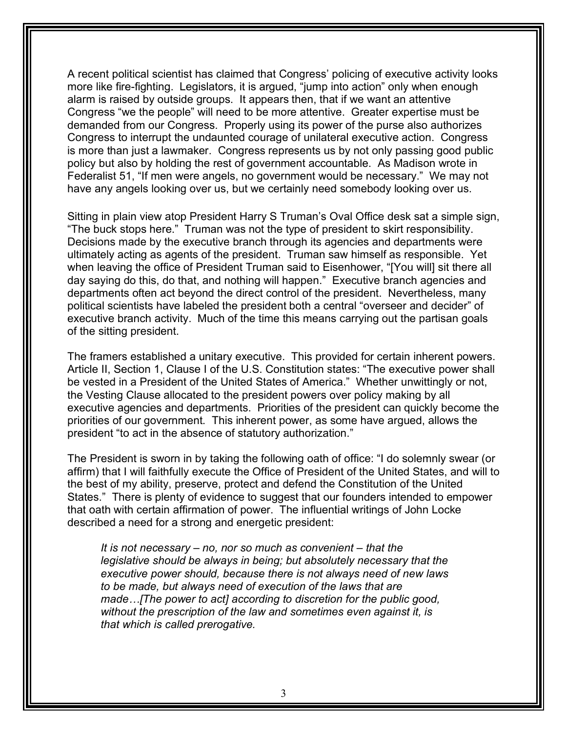A recent political scientist has claimed that Congress' policing of executive activity looks more like fire-fighting. Legislators, it is argued, "jump into action" only when enough alarm is raised by outside groups. It appears then, that if we want an attentive Congress "we the people" will need to be more attentive. Greater expertise must be demanded from our Congress. Properly using its power of the purse also authorizes Congress to interrupt the undaunted courage of unilateral executive action. Congress is more than just a lawmaker. Congress represents us by not only passing good public policy but also by holding the rest of government accountable. As Madison wrote in Federalist 51, "If men were angels, no government would be necessary." We may not have any angels looking over us, but we certainly need somebody looking over us.

Sitting in plain view atop President Harry S Truman's Oval Office desk sat a simple sign, "The buck stops here." Truman was not the type of president to skirt responsibility. Decisions made by the executive branch through its agencies and departments were ultimately acting as agents of the president. Truman saw himself as responsible. Yet when leaving the office of President Truman said to Eisenhower, "[You will] sit there all day saying do this, do that, and nothing will happen." Executive branch agencies and departments often act beyond the direct control of the president. Nevertheless, many political scientists have labeled the president both a central "overseer and decider" of executive branch activity. Much of the time this means carrying out the partisan goals of the sitting president.

The framers established a unitary executive. This provided for certain inherent powers. Article II, Section 1, Clause I of the U.S. Constitution states: "The executive power shall be vested in a President of the United States of America." Whether unwittingly or not, the Vesting Clause allocated to the president powers over policy making by all executive agencies and departments. Priorities of the president can quickly become the priorities of our government. This inherent power, as some have argued, allows the president "to act in the absence of statutory authorization."

The President is sworn in by taking the following oath of office: "I do solemnly swear (or affirm) that I will faithfully execute the Office of President of the United States, and will to the best of my ability, preserve, protect and defend the Constitution of the United States." There is plenty of evidence to suggest that our founders intended to empower that oath with certain affirmation of power. The influential writings of John Locke described a need for a strong and energetic president:

*It is not necessary – no, nor so much as convenient – that the legislative should be always in being; but absolutely necessary that the executive power should, because there is not always need of new laws to be made, but always need of execution of the laws that are made…[The power to act] according to discretion for the public good, without the prescription of the law and sometimes even against it, is that which is called prerogative.*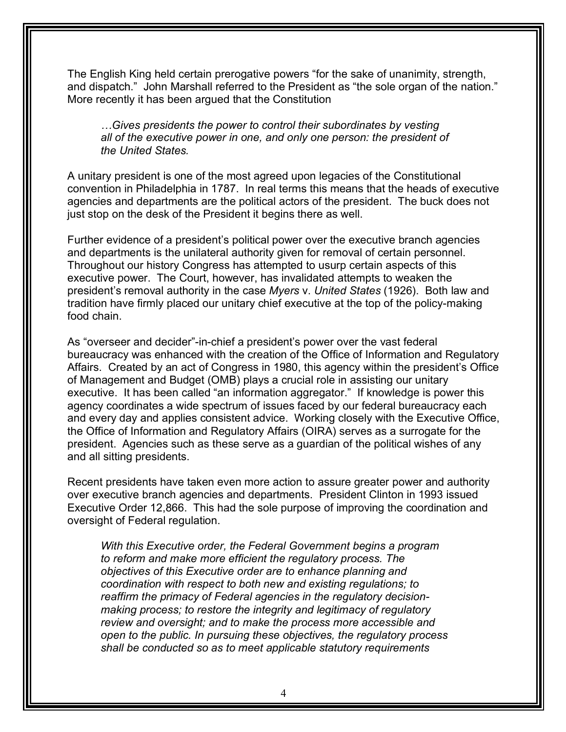The English King held certain prerogative powers "for the sake of unanimity, strength, and dispatch." John Marshall referred to the President as "the sole organ of the nation." More recently it has been argued that the Constitution

*…Gives presidents the power to control their subordinates by vesting all of the executive power in one, and only one person: the president of the United States.*

A unitary president is one of the most agreed upon legacies of the Constitutional convention in Philadelphia in 1787. In real terms this means that the heads of executive agencies and departments are the political actors of the president. The buck does not just stop on the desk of the President it begins there as well.

Further evidence of a president's political power over the executive branch agencies and departments is the unilateral authority given for removal of certain personnel. Throughout our history Congress has attempted to usurp certain aspects of this executive power. The Court, however, has invalidated attempts to weaken the president's removal authority in the case *Myers* v. *United States* (1926). Both law and tradition have firmly placed our unitary chief executive at the top of the policy-making food chain.

As "overseer and decider"-in-chief a president's power over the vast federal bureaucracy was enhanced with the creation of the Office of Information and Regulatory Affairs. Created by an act of Congress in 1980, this agency within the president's Office of Management and Budget (OMB) plays a crucial role in assisting our unitary executive. It has been called "an information aggregator." If knowledge is power this agency coordinates a wide spectrum of issues faced by our federal bureaucracy each and every day and applies consistent advice. Working closely with the Executive Office, the Office of Information and Regulatory Affairs (OIRA) serves as a surrogate for the president. Agencies such as these serve as a guardian of the political wishes of any and all sitting presidents.

Recent presidents have taken even more action to assure greater power and authority over executive branch agencies and departments. President Clinton in 1993 issued Executive Order 12,866. This had the sole purpose of improving the coordination and oversight of Federal regulation.

*With this Executive order, the Federal Government begins a program to reform and make more efficient the regulatory process. The objectives of this Executive order are to enhance planning and coordination with respect to both new and existing regulations; to reaffirm the primacy of Federal agencies in the regulatory decisionmaking process; to restore the integrity and legitimacy of regulatory review and oversight; and to make the process more accessible and open to the public. In pursuing these objectives, the regulatory process shall be conducted so as to meet applicable statutory requirements*